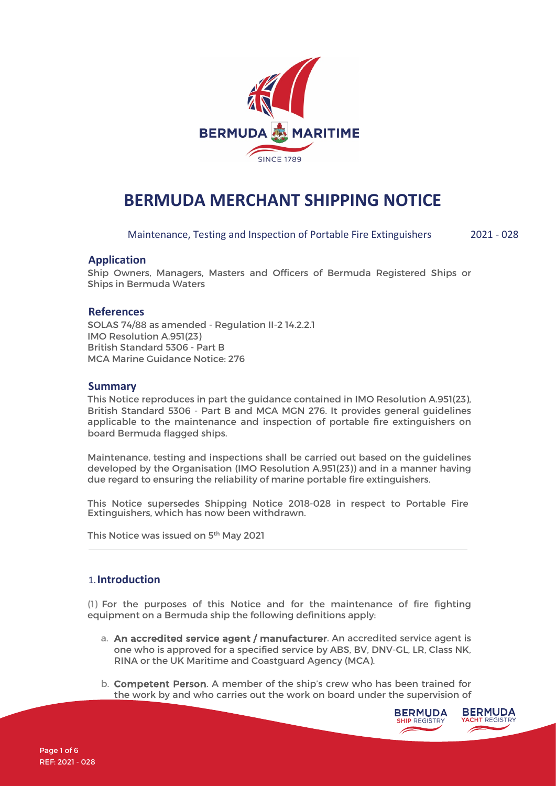

# **BERMUDA MERCHANT SHIPPING NOTICE**

Maintenance, Testing and Inspection of Portable Fire Extinguishers 2021 - 028

## **Application**

Ship Owners, Managers, Masters and Officers of Bermuda Registered Ships or Ships in Bermuda Waters

#### **References**

SOLAS 74/88 as amended - Regulation II-2 14.2.2.1 IMO Resolution A.951(23) British Standard 5306 - Part B MCA Marine Guidance Notice: 276

## **Summary**

This Notice reproduces in part the guidance contained in IMO Resolution A.951(23), British Standard 5306 - Part B and MCA MGN 276. It provides general guidelines applicable to the maintenance and inspection of portable fire extinguishers on board Bermuda flagged ships.

Maintenance, testing and inspections shall be carried out based on the guidelines developed by the Organisation (IMO Resolution A.951(23)) and in a manner having due regard to ensuring the reliability of marine portable fire extinguishers.

This Notice supersedes Shipping Notice 2018-028 in respect to Portable Fire Extinguishers, which has now been withdrawn.

This Notice was issued on 5<sup>th</sup> May 2021

#### 1.**Introduction**

(1) For the purposes of this Notice and for the maintenance of fire fighting equipment on a Bermuda ship the following definitions apply:

- a. An accredited service agent / manufacturer. An accredited service agent is one who is approved for a specified service by ABS, BV, DNV-GL, LR, Class NK, RINA or the UK Maritime and Coastguard Agency (MCA).
- b. Competent Person. A member of the ship's crew who has been trained for the work by and who carries out the work on board under the supervision of

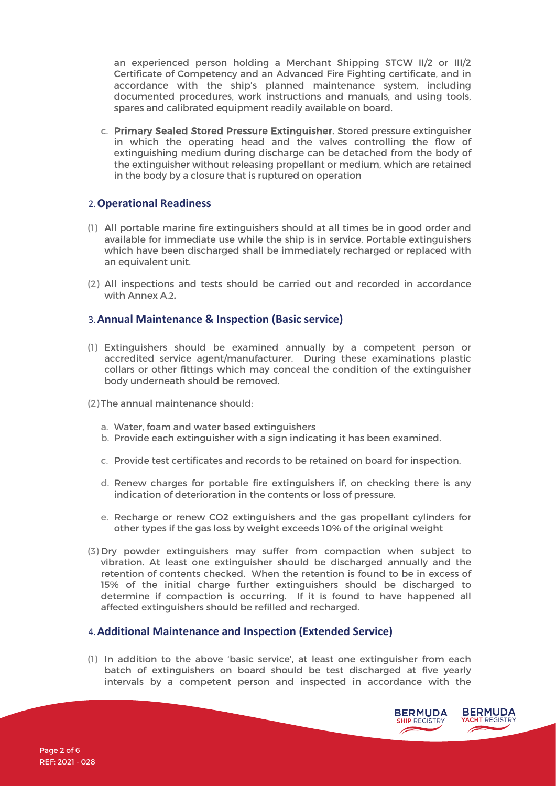an experienced person holding a Merchant Shipping STCW II/2 or III/2 Certificate of Competency and an Advanced Fire Fighting certificate, and in accordance with the ship's planned maintenance system, including documented procedures, work instructions and manuals, and using tools, spares and calibrated equipment readily available on board.

c. Primary Sealed Stored Pressure Extinguisher. Stored pressure extinguisher in which the operating head and the valves controlling the flow of extinguishing medium during discharge can be detached from the body of the extinguisher without releasing propellant or medium, which are retained in the body by a closure that is ruptured on operation

## 2.**Operational Readiness**

- (1) All portable marine fire extinguishers should at all times be in good order and available for immediate use while the ship is in service. Portable extinguishers which have been discharged shall be immediately recharged or replaced with an equivalent unit.
- (2) All inspections and tests should be carried out and recorded in accordance with Annex A.**2.**

# 3.**Annual Maintenance & Inspection (Basic service)**

- (1) Extinguishers should be examined annually by a competent person or accredited service agent/manufacturer. During these examinations plastic collars or other fittings which may conceal the condition of the extinguisher body underneath should be removed.
- (2) The annual maintenance should:
	- a. Water, foam and water based extinguishers
	- b. Provide each extinguisher with a sign indicating it has been examined.
	- c. Provide test certificates and records to be retained on board for inspection.
	- d. Renew charges for portable fire extinguishers if, on checking there is any indication of deterioration in the contents or loss of pressure.
	- e. Recharge or renew CO2 extinguishers and the gas propellant cylinders for other types if the gas loss by weight exceeds 10% of the original weight
- (3) Dry powder extinguishers may suffer from compaction when subject to vibration. At least one extinguisher should be discharged annually and the retention of contents checked. When the retention is found to be in excess of 15% of the initial charge further extinguishers should be discharged to determine if compaction is occurring. If it is found to have happened all affected extinguishers should be refilled and recharged.

## 4.**Additional Maintenance and Inspection (Extended Service)**

(1) In addition to the above 'basic service', at least one extinguisher from each batch of extinguishers on board should be test discharged at five yearly intervals by a competent person and inspected in accordance with the

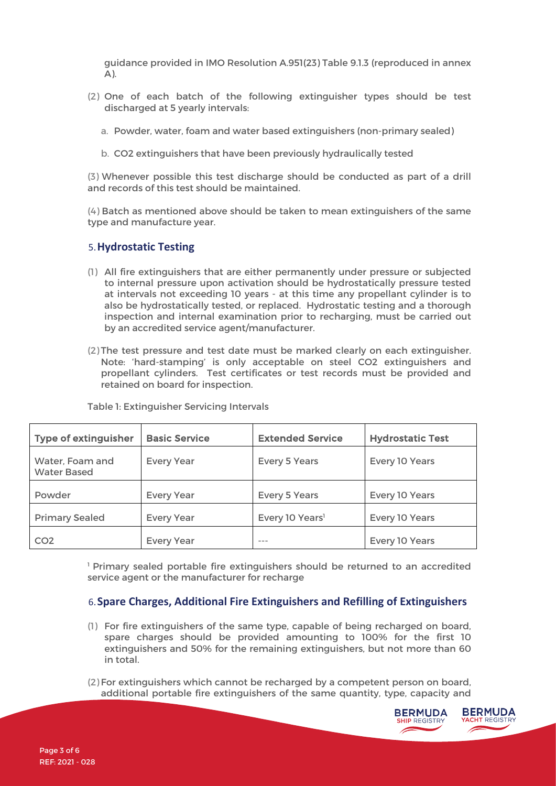guidance provided in IMO Resolution A.951(23) Table 9.1.3 (reproduced in annex A).

- (2) One of each batch of the following extinguisher types should be test discharged at 5 yearly intervals:
	- a. Powder, water, foam and water based extinguishers (non-primary sealed)
	- b. CO2 extinguishers that have been previously hydraulically tested

(3) Whenever possible this test discharge should be conducted as part of a drill and records of this test should be maintained.

(4) Batch as mentioned above should be taken to mean extinguishers of the same type and manufacture year.

# 5.**Hydrostatic Testing**

- (1) All fire extinguishers that are either permanently under pressure or subjected to internal pressure upon activation should be hydrostatically pressure tested at intervals not exceeding 10 years - at this time any propellant cylinder is to also be hydrostatically tested, or replaced. Hydrostatic testing and a thorough inspection and internal examination prior to recharging, must be carried out by an accredited service agent/manufacturer.
- (2) The test pressure and test date must be marked clearly on each extinguisher. Note: 'hard-stamping' is only acceptable on steel CO2 extinguishers and propellant cylinders. Test certificates or test records must be provided and retained on board for inspection.

| <b>Type of extinguisher</b>           | <b>Basic Service</b> | <b>Extended Service</b>     | <b>Hydrostatic Test</b> |
|---------------------------------------|----------------------|-----------------------------|-------------------------|
| Water, Foam and<br><b>Water Based</b> | <b>Every Year</b>    | <b>Every 5 Years</b>        | Every 10 Years          |
| Powder                                | <b>Every Year</b>    | <b>Every 5 Years</b>        | Every 10 Years          |
| <b>Primary Sealed</b>                 | <b>Every Year</b>    | Every 10 Years <sup>1</sup> | Every 10 Years          |
| CO <sub>2</sub>                       | <b>Every Year</b>    |                             | Every 10 Years          |

Table 1: Extinguisher Servicing Intervals

<sup>1</sup> Primary sealed portable fire extinguishers should be returned to an accredited service agent or the manufacturer for recharge

# 6.**Spare Charges, Additional Fire Extinguishers and Refilling of Extinguishers**

- (1) For fire extinguishers of the same type, capable of being recharged on board, spare charges should be provided amounting to 100% for the first 10 extinguishers and 50% for the remaining extinguishers, but not more than 60 in total.
- (2) For extinguishers which cannot be recharged by a competent person on board, additional portable fire extinguishers of the same quantity, type, capacity and

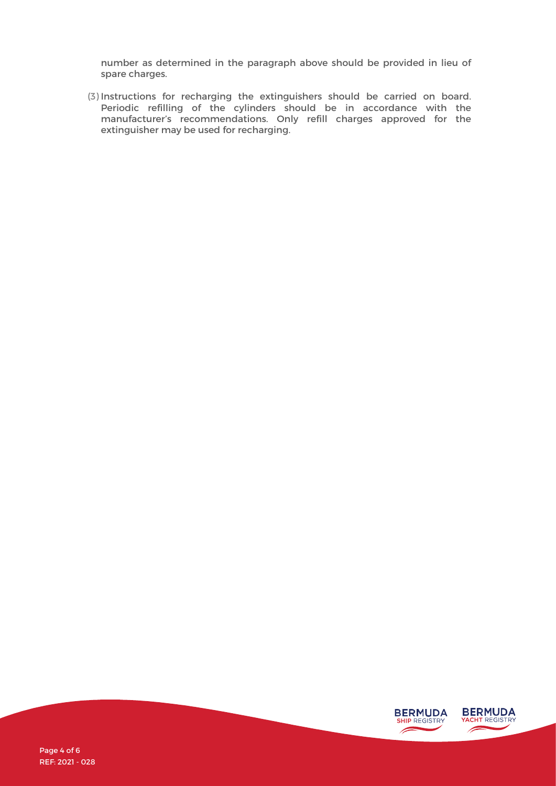number as determined in the paragraph above should be provided in lieu of spare charges.

(3) Instructions for recharging the extinguishers should be carried on board. Periodic refilling of the cylinders should be in accordance with the manufacturer's recommendations. Only refill charges approved for the extinguisher may be used for recharging.

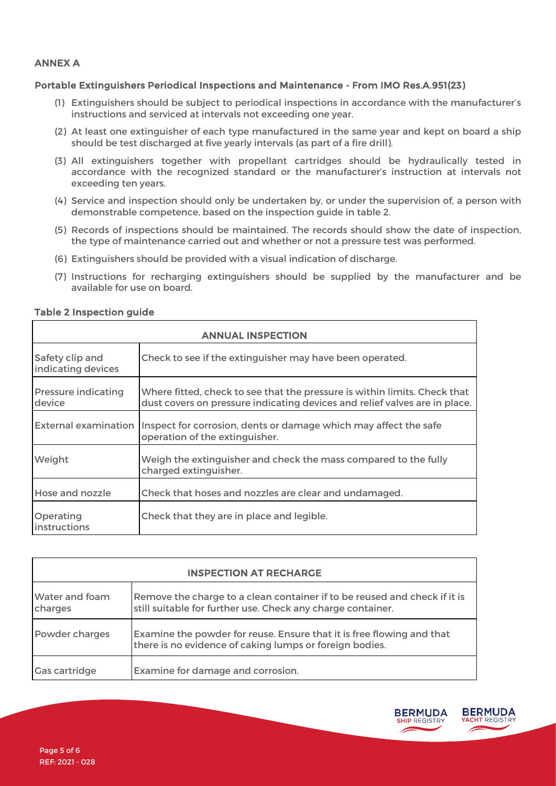#### ANNEX A

#### Portable Extinguishers Periodical Inspections and Maintenance - From IMO Res.A.951(23)

- (1) Extinguishers should be subject to periodical inspections in accordance with the manufacturer's instructions and serviced at intervals not exceeding one year.
- (2) At least one extinguisher of each type manufactured in the same year and kept on board a ship should be test discharged at five yearly intervals (as part of a fire drill).
- (3) All extinguishers together with propellant cartridges should be hydraulically tested in accordance with the recognized standard or the manufacturer's instruction at intervals not exceeding ten years.
- (4) Service and inspection should only be undertaken by, or under the supervision of, a person with demonstrable competence, based on the inspection guide in table 2.
- (5) Records of inspections should be maintained. The records should show the date of inspection, the type of maintenance carried out and whether or not a pressure test was performed.
- (6) Extinguishers should be provided with a visual indication of discharge.
- (7) Instructions for recharging extinguishers should be supplied by the manufacturer and be available for use on board.

| <b>ANNUAL INSPECTION</b>              |                                                                                                                                                         |  |
|---------------------------------------|---------------------------------------------------------------------------------------------------------------------------------------------------------|--|
| Safety clip and<br>indicating devices | Check to see if the extinguisher may have been operated.                                                                                                |  |
| <b>Pressure indicating</b><br>device  | Where fitted, check to see that the pressure is within limits. Check that<br>dust covers on pressure indicating devices and relief valves are in place. |  |
| <b>External examination</b>           | Inspect for corrosion, dents or damage which may affect the safe<br>operation of the extinguisher.                                                      |  |
| Weight                                | Weigh the extinguisher and check the mass compared to the fully<br>charged extinguisher.                                                                |  |
| Hose and nozzle                       | Check that hoses and nozzles are clear and undamaged.                                                                                                   |  |
| Operating<br>instructions             | Check that they are in place and legible.                                                                                                               |  |

#### Table 2 Inspection guide

| <b>INSPECTION AT RECHARGE</b> |                                                                                                                                          |  |  |
|-------------------------------|------------------------------------------------------------------------------------------------------------------------------------------|--|--|
| Water and foam<br>charges     | Remove the charge to a clean container if to be reused and check if it is<br>still suitable for further use. Check any charge container. |  |  |
| Powder charges                | Examine the powder for reuse. Ensure that it is free flowing and that<br>there is no evidence of caking lumps or foreign bodies.         |  |  |
| <b>Gas cartridge</b>          | Examine for damage and corrosion.                                                                                                        |  |  |